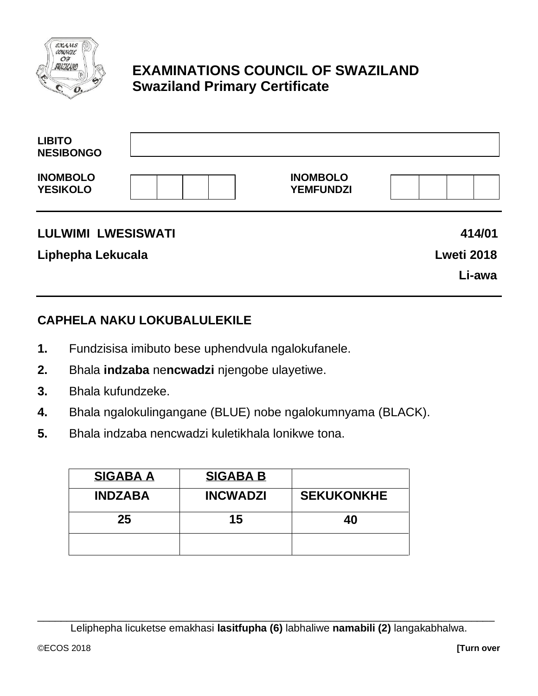

# **EXAMINATIONS COUNCIL OF SWAZILAND Swaziland Primary Certificate**

| <b>LIBITO</b><br><b>NESIBONGO</b>  |  |                                     |                   |
|------------------------------------|--|-------------------------------------|-------------------|
| <b>INOMBOLO</b><br><b>YESIKOLO</b> |  | <b>INOMBOLO</b><br><b>YEMFUNDZI</b> |                   |
| <b>LULWIMI LWESISWATI</b>          |  |                                     | 414/01            |
| Liphepha Lekucala                  |  |                                     | <b>Lweti 2018</b> |

**CAPHELA NAKU LOKUBALULEKILE**

- **1.** Fundzisisa imibuto bese uphendvula ngalokufanele.
- **2.** Bhala **indzaba** ne**ncwadzi** njengobe ulayetiwe.
- **3.** Bhala kufundzeke.
- **4.** Bhala ngalokulingangane (BLUE) nobe ngalokumnyama (BLACK).
- **5.** Bhala indzaba nencwadzi kuletikhala lonikwe tona.

| <b>SIGABA A</b> | <b>SIGABA B</b> |                   |
|-----------------|-----------------|-------------------|
| <b>INDZABA</b>  | <b>INCWADZI</b> | <b>SEKUKONKHE</b> |
| 25              | 15              | 40                |
|                 |                 |                   |

\_\_\_\_\_\_\_\_\_\_\_\_\_\_\_\_\_\_\_\_\_\_\_\_\_\_\_\_\_\_\_\_\_\_\_\_\_\_\_\_\_\_\_\_\_\_\_\_\_\_\_\_\_\_\_\_\_\_\_\_\_\_\_\_\_\_\_\_\_\_\_\_\_\_\_\_\_\_ Leliphepha licuketse emakhasi **lasitfupha (6)** labhaliwe **namabili (2)** langakabhalwa.

**Li-awa**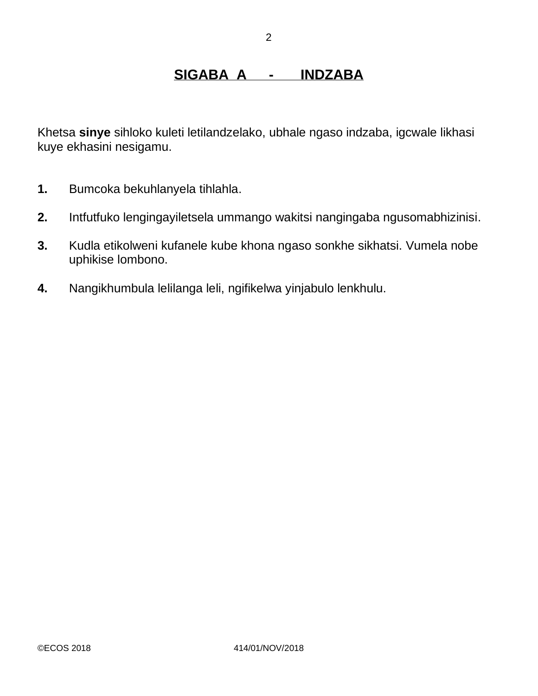## **SIGABA A - INDZABA**

Khetsa **sinye** sihloko kuleti letilandzelako, ubhale ngaso indzaba, igcwale likhasi kuye ekhasini nesigamu.

- **1.** Bumcoka bekuhlanyela tihlahla.
- **2.** Intfutfuko lengingayiletsela ummango wakitsi nangingaba ngusomabhizinisi.
- **3.** Kudla etikolweni kufanele kube khona ngaso sonkhe sikhatsi. Vumela nobe uphikise lombono.
- **4.** Nangikhumbula lelilanga leli, ngifikelwa yinjabulo lenkhulu.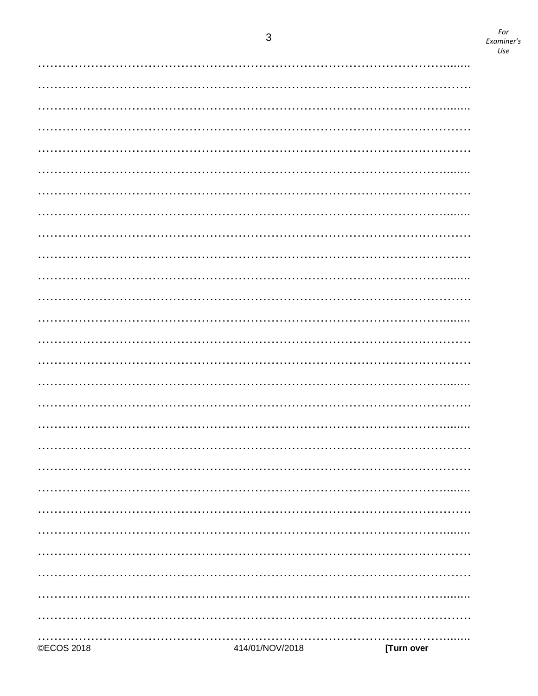For Examiner's Use

| ©ECOS 2018 | 414/01/NOV/2018 | [Turn over |
|------------|-----------------|------------|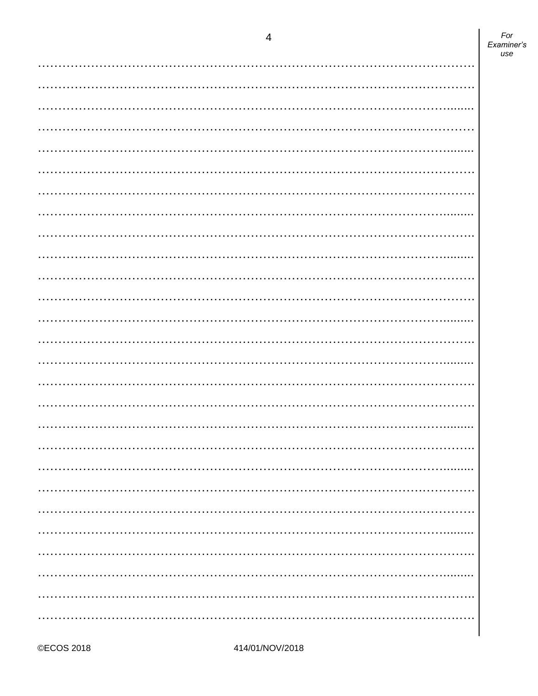For Examiner's use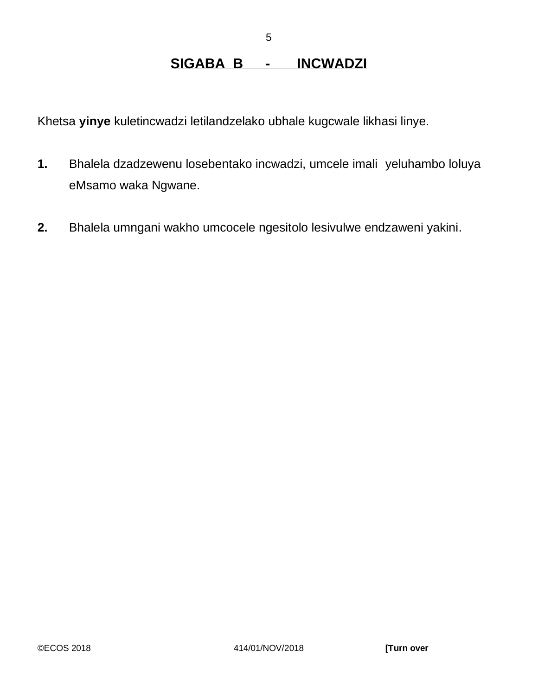#### **SIGABA B - INCWADZI**

Khetsa **yinye** kuletincwadzi letilandzelako ubhale kugcwale likhasi linye.

- **1.** Bhalela dzadzewenu losebentako incwadzi, umcele imali yeluhambo loluya eMsamo waka Ngwane.
- **2.** Bhalela umngani wakho umcocele ngesitolo lesivulwe endzaweni yakini.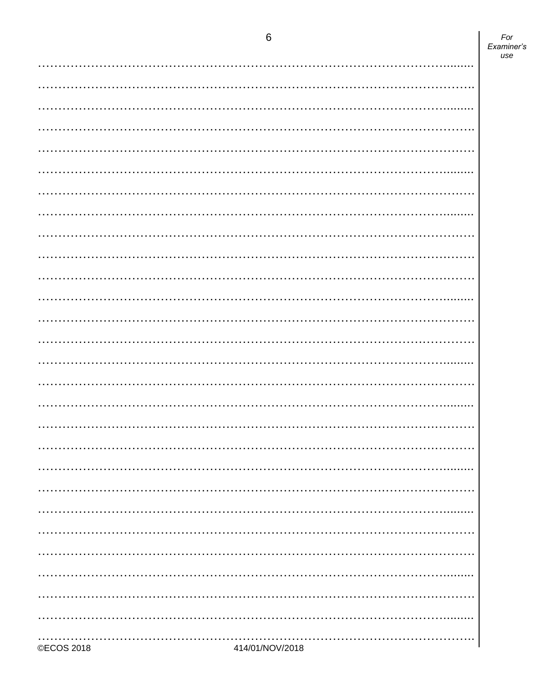For<br>Examiner's use

| .<br>©ECOS 2018 | 414/01/NOV/2018 |
|-----------------|-----------------|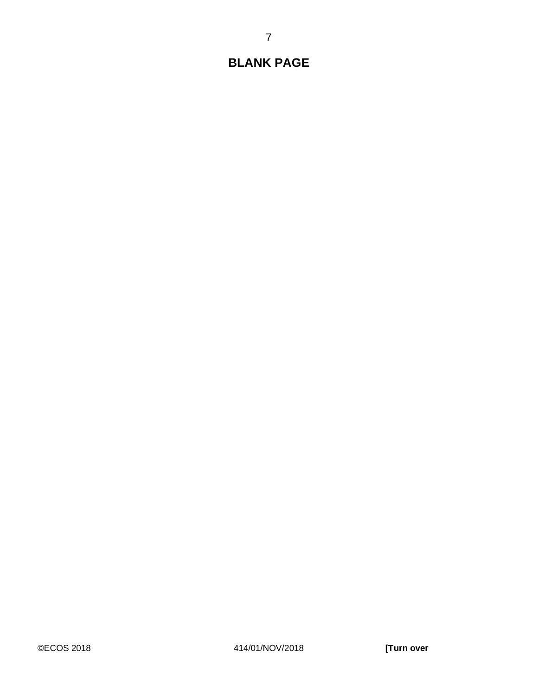### **BLANK PAGE**

7